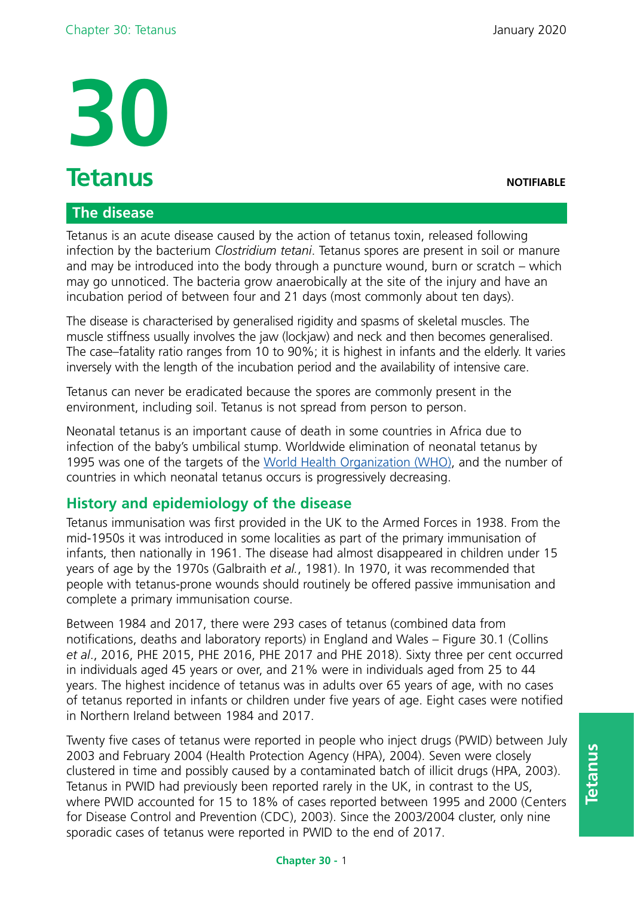

### **The disease**

Tetanus is an acute disease caused by the action of tetanus toxin, released following infection by the bacterium *Clostridium tetani*. Tetanus spores are present in soil or manure and may be introduced into the body through a puncture wound, burn or scratch – which may go unnoticed. The bacteria grow anaerobically at the site of the injury and have an incubation period of between four and 21 days (most commonly about ten days).

The disease is characterised by generalised rigidity and spasms of skeletal muscles. The muscle stiffness usually involves the jaw (lockjaw) and neck and then becomes generalised. The case–fatality ratio ranges from 10 to 90%; it is highest in infants and the elderly. It varies inversely with the length of the incubation period and the availability of intensive care.

Tetanus can never be eradicated because the spores are commonly present in the environment, including soil. Tetanus is not spread from person to person.

Neonatal tetanus is an important cause of death in some countries in Africa due to infection of the baby's umbilical stump. Worldwide elimination of neonatal tetanus by 1995 was one of the targets of the [World Health Organization \(WHO\),](http://apps.who.int/immunization_monitoring/globalsummary/timeseries/tsincidencentetanus.html) and the number of countries in which neonatal tetanus occurs is progressively decreasing.

# **History and epidemiology of the disease**

Tetanus immunisation was first provided in the UK to the Armed Forces in 1938. From the mid-1950s it was introduced in some localities as part of the primary immunisation of infants, then nationally in 1961. The disease had almost disappeared in children under 15 years of age by the 1970s (Galbraith *et al.*, 1981). In 1970, it was recommended that people with tetanus-prone wounds should routinely be offered passive immunisation and complete a primary immunisation course.

Between 1984 and 2017, there were 293 cases of tetanus (combined data from notifications, deaths and laboratory reports) in England and Wales – Figure 30.1 (Collins *et al*., 2016, PHE 2015, PHE 2016, PHE 2017 and PHE 2018). Sixty three per cent occurred in individuals aged 45 years or over, and 21% were in individuals aged from 25 to 44 years. The highest incidence of tetanus was in adults over 65 years of age, with no cases of tetanus reported in infants or children under five years of age. Eight cases were notified in Northern Ireland between 1984 and 2017.

Twenty five cases of tetanus were reported in people who inject drugs (PWID) between July 2003 and February 2004 (Health Protection Agency (HPA), 2004). Seven were closely clustered in time and possibly caused by a contaminated batch of illicit drugs (HPA, 2003). Tetanus in PWID had previously been reported rarely in the UK, in contrast to the US, where PWID accounted for 15 to 18% of cases reported between 1995 and 2000 (Centers for Disease Control and Prevention (CDC), 2003). Since the 2003/2004 cluster, only nine sporadic cases of tetanus were reported in PWID to the end of 2017.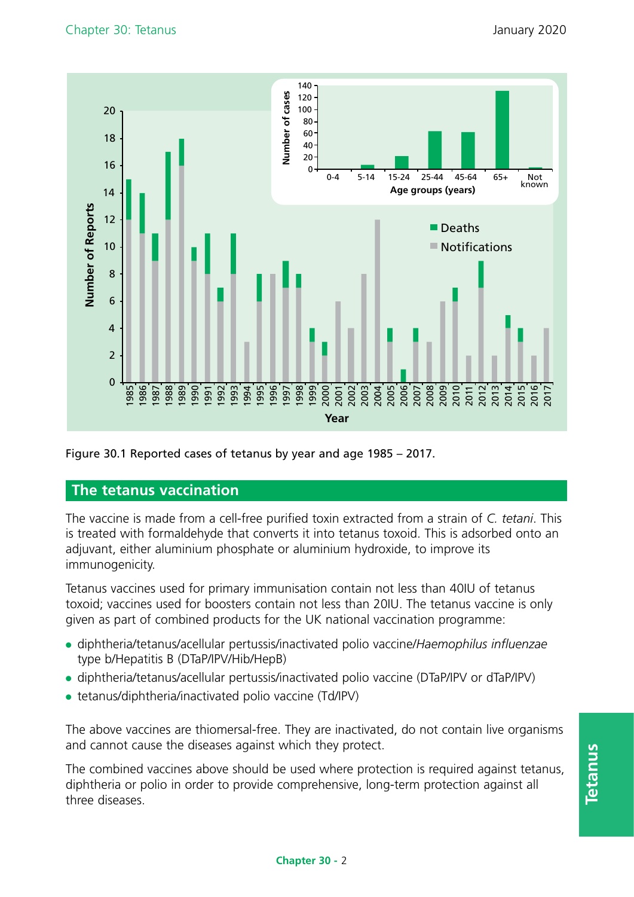

#### Figure 30.1 Reported cases of tetanus by year and age 1985 – 2017.

#### **The tetanus vaccination**

The vaccine is made from a cell-free purified toxin extracted from a strain of *C. tetani*. This is treated with formaldehyde that converts it into tetanus toxoid. This is adsorbed onto an adjuvant, either aluminium phosphate or aluminium hydroxide, to improve its immunogenicity.

Tetanus vaccines used for primary immunisation contain not less than 40IU of tetanus toxoid; vaccines used for boosters contain not less than 20IU. The tetanus vaccine is only given as part of combined products for the UK national vaccination programme:

- ●● diphtheria/tetanus/acellular pertussis/inactivated polio vaccine/*Haemophilus influenzae*  type b/Hepatitis B (DTaP/IPV/Hib/HepB)
- diphtheria/tetanus/acellular pertussis/inactivated polio vaccine (DTaP/IPV or dTaP/IPV)
- tetanus/diphtheria/inactivated polio vaccine (Td/IPV)

The above vaccines are thiomersal-free. They are inactivated, do not contain live organisms and cannot cause the diseases against which they protect.

The combined vaccines above should be used where protection is required against tetanus, diphtheria or polio in order to provide comprehensive, long-term protection against all three diseases.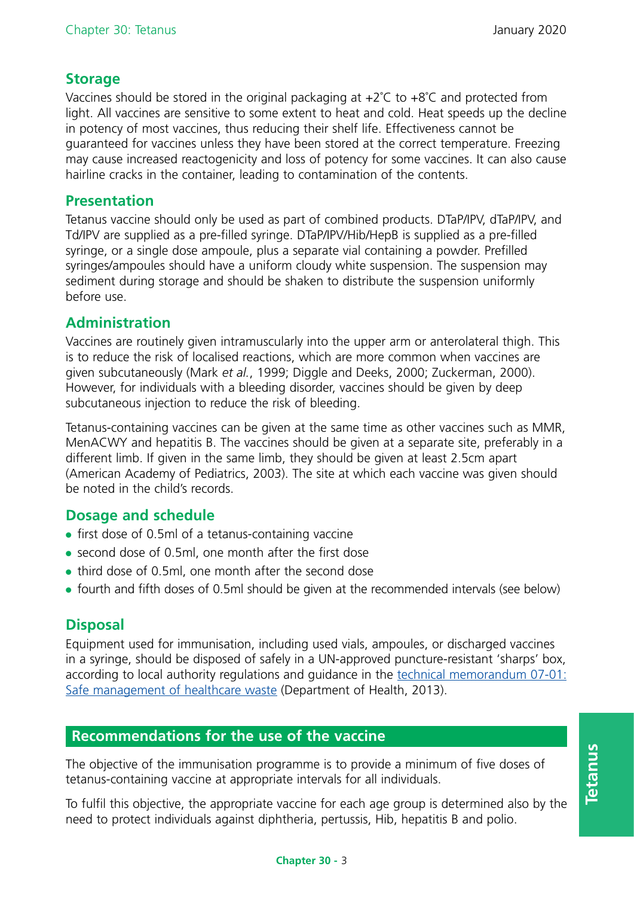## **Storage**

Vaccines should be stored in the original packaging at  $+2^{\circ}C$  to  $+8^{\circ}C$  and protected from light. All vaccines are sensitive to some extent to heat and cold. Heat speeds up the decline in potency of most vaccines, thus reducing their shelf life. Effectiveness cannot be guaranteed for vaccines unless they have been stored at the correct temperature. Freezing may cause increased reactogenicity and loss of potency for some vaccines. It can also cause hairline cracks in the container, leading to contamination of the contents.

### **Presentation**

Tetanus vaccine should only be used as part of combined products. DTaP/IPV, dTaP/IPV, and Td/IPV are supplied as a pre-filled syringe. DTaP/IPV/Hib/HepB is supplied as a pre-filled syringe, or a single dose ampoule, plus a separate vial containing a powder. Prefilled syringes/ampoules should have a uniform cloudy white suspension. The suspension may sediment during storage and should be shaken to distribute the suspension uniformly before use.

# **Administration**

Vaccines are routinely given intramuscularly into the upper arm or anterolateral thigh. This is to reduce the risk of localised reactions, which are more common when vaccines are given subcutaneously (Mark *et al.*, 1999; Diggle and Deeks, 2000; Zuckerman, 2000). However, for individuals with a bleeding disorder, vaccines should be given by deep subcutaneous injection to reduce the risk of bleeding.

Tetanus-containing vaccines can be given at the same time as other vaccines such as MMR, MenACWY and hepatitis B. The vaccines should be given at a separate site, preferably in a different limb. If given in the same limb, they should be given at least 2.5cm apart (American Academy of Pediatrics, 2003). The site at which each vaccine was given should be noted in the child's records.

# **Dosage and schedule**

- $\bullet$  first dose of 0.5ml of a tetanus-containing vaccine
- second dose of 0.5ml, one month after the first dose
- third dose of 0.5ml, one month after the second dose
- fourth and fifth doses of 0.5ml should be given at the recommended intervals (see below)

# **Disposal**

Equipment used for immunisation, including used vials, ampoules, or discharged vaccines in a syringe, should be disposed of safely in a UN-approved puncture-resistant 'sharps' box, according to local authority regulations and guidance in the [technical memorandum 07-01:](https://www.gov.uk/government/publications/guidance-on-the-safe-management-of-healthcare-waste) [Safe management of healthcare waste \(](https://www.gov.uk/government/publications/guidance-on-the-safe-management-of-healthcare-waste)Department of Health, 2013).

# **Recommendations for the use of the vaccine**

The objective of the immunisation programme is to provide a minimum of five doses of tetanus-containing vaccine at appropriate intervals for all individuals.

To fulfil this objective, the appropriate vaccine for each age group is determined also by the need to protect individuals against diphtheria, pertussis, Hib, hepatitis B and polio.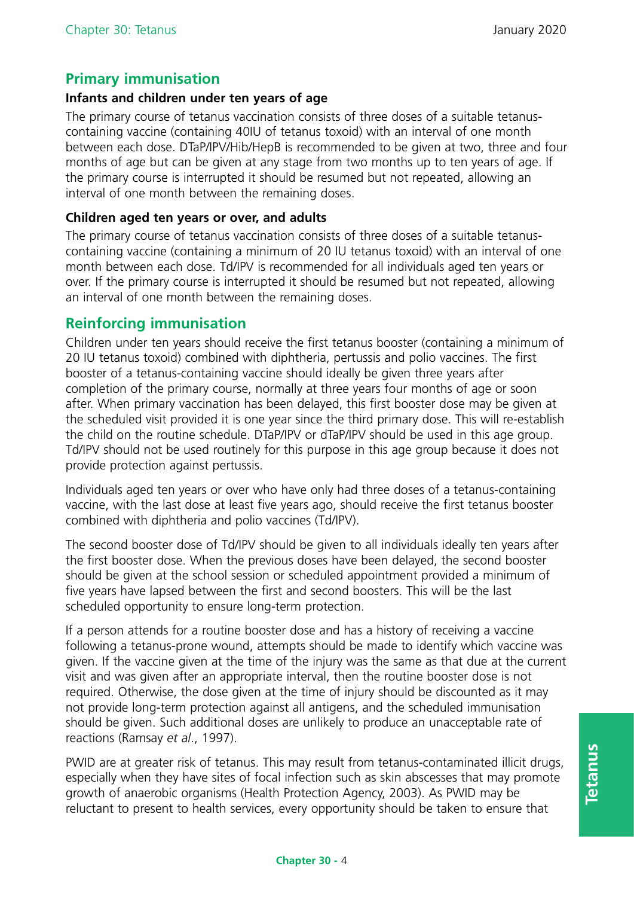# **Primary immunisation**

#### **Infants and children under ten years of age**

The primary course of tetanus vaccination consists of three doses of a suitable tetanuscontaining vaccine (containing 40IU of tetanus toxoid) with an interval of one month between each dose. DTaP/IPV/Hib/HepB is recommended to be given at two, three and four months of age but can be given at any stage from two months up to ten years of age. If the primary course is interrupted it should be resumed but not repeated, allowing an interval of one month between the remaining doses.

#### **Children aged ten years or over, and adults**

The primary course of tetanus vaccination consists of three doses of a suitable tetanuscontaining vaccine (containing a minimum of 20 IU tetanus toxoid) with an interval of one month between each dose. Td/IPV is recommended for all individuals aged ten years or over. If the primary course is interrupted it should be resumed but not repeated, allowing an interval of one month between the remaining doses.

### **Reinforcing immunisation**

Children under ten years should receive the first tetanus booster (containing a minimum of 20 IU tetanus toxoid) combined with diphtheria, pertussis and polio vaccines. The first booster of a tetanus-containing vaccine should ideally be given three years after completion of the primary course, normally at three years four months of age or soon after. When primary vaccination has been delayed, this first booster dose may be given at the scheduled visit provided it is one year since the third primary dose. This will re-establish the child on the routine schedule. DTaP/IPV or dTaP/IPV should be used in this age group. Td/IPV should not be used routinely for this purpose in this age group because it does not provide protection against pertussis.

Individuals aged ten years or over who have only had three doses of a tetanus-containing vaccine, with the last dose at least five years ago, should receive the first tetanus booster combined with diphtheria and polio vaccines (Td/IPV).

The second booster dose of Td/IPV should be given to all individuals ideally ten years after the first booster dose. When the previous doses have been delayed, the second booster should be given at the school session or scheduled appointment provided a minimum of five years have lapsed between the first and second boosters. This will be the last scheduled opportunity to ensure long-term protection.

If a person attends for a routine booster dose and has a history of receiving a vaccine following a tetanus-prone wound, attempts should be made to identify which vaccine was given. If the vaccine given at the time of the injury was the same as that due at the current visit and was given after an appropriate interval, then the routine booster dose is not required. Otherwise, the dose given at the time of injury should be discounted as it may not provide long-term protection against all antigens, and the scheduled immunisation should be given. Such additional doses are unlikely to produce an unacceptable rate of reactions (Ramsay *et al*., 1997).

PWID are at greater risk of tetanus. This may result from tetanus-contaminated illicit drugs, especially when they have sites of focal infection such as skin abscesses that may promote growth of anaerobic organisms (Health Protection Agency, 2003). As PWID may be reluctant to present to health services, every opportunity should be taken to ensure that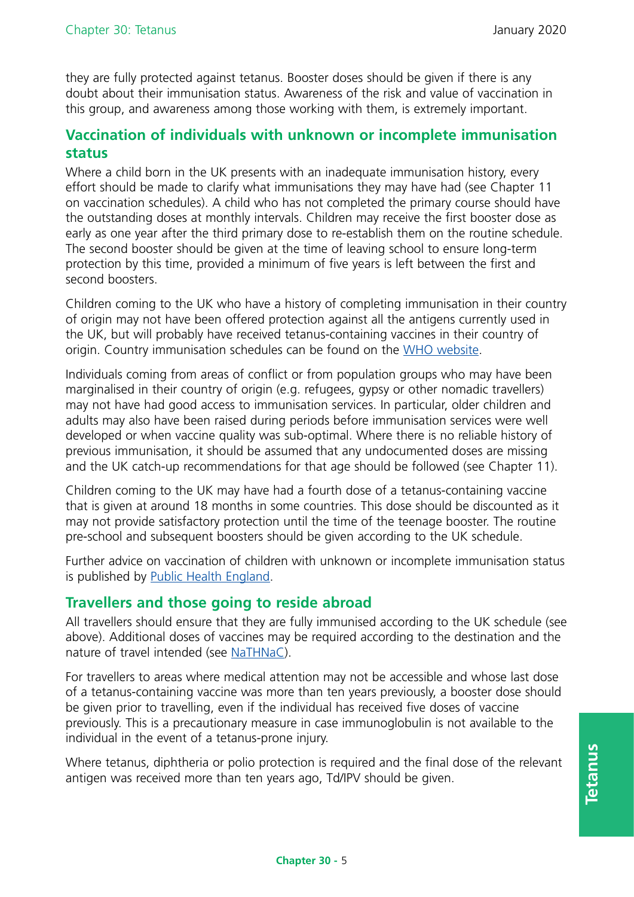they are fully protected against tetanus. Booster doses should be given if there is any doubt about their immunisation status. Awareness of the risk and value of vaccination in this group, and awareness among those working with them, is extremely important.

### **Vaccination of individuals with unknown or incomplete immunisation status**

Where a child born in the UK presents with an inadequate immunisation history, every effort should be made to clarify what immunisations they may have had (see Chapter 11 on vaccination schedules). A child who has not completed the primary course should have the outstanding doses at monthly intervals. Children may receive the first booster dose as early as one year after the third primary dose to re-establish them on the routine schedule. The second booster should be given at the time of leaving school to ensure long-term protection by this time, provided a minimum of five years is left between the first and second boosters.

Children coming to the UK who have a history of completing immunisation in their country of origin may not have been offered protection against all the antigens currently used in the UK, but will probably have received tetanus-containing vaccines in their country of origin. Country immunisation schedules can be found on the [WHO website.](http://apps.who.int/immunization_monitoring/globalsummary/)

Individuals coming from areas of conflict or from population groups who may have been marginalised in their country of origin (e.g. refugees, gypsy or other nomadic travellers) may not have had good access to immunisation services. In particular, older children and adults may also have been raised during periods before immunisation services were well developed or when vaccine quality was sub-optimal. Where there is no reliable history of previous immunisation, it should be assumed that any undocumented doses are missing and the UK catch-up recommendations for that age should be followed (see Chapter 11).

Children coming to the UK may have had a fourth dose of a tetanus-containing vaccine that is given at around 18 months in some countries. This dose should be discounted as it may not provide satisfactory protection until the time of the teenage booster. The routine pre-school and subsequent boosters should be given according to the UK schedule.

Further advice on vaccination of children with unknown or incomplete immunisation status is published by [Public Health England](https://www.gov.uk/government/publications/vaccination-of-individuals-with-uncertain-or-incomplete-immunisation-status).

### **Travellers and those going to reside abroad**

All travellers should ensure that they are fully immunised according to the UK schedule (see above). Additional doses of vaccines may be required according to the destination and the nature of travel intended (see [NaTHNaC](https://nathnac.net/)).

For travellers to areas where medical attention may not be accessible and whose last dose of a tetanus-containing vaccine was more than ten years previously, a booster dose should be given prior to travelling, even if the individual has received five doses of vaccine previously. This is a precautionary measure in case immunoglobulin is not available to the individual in the event of a tetanus-prone injury.

Where tetanus, diphtheria or polio protection is required and the final dose of the relevant antigen was received more than ten years ago, Td/IPV should be given.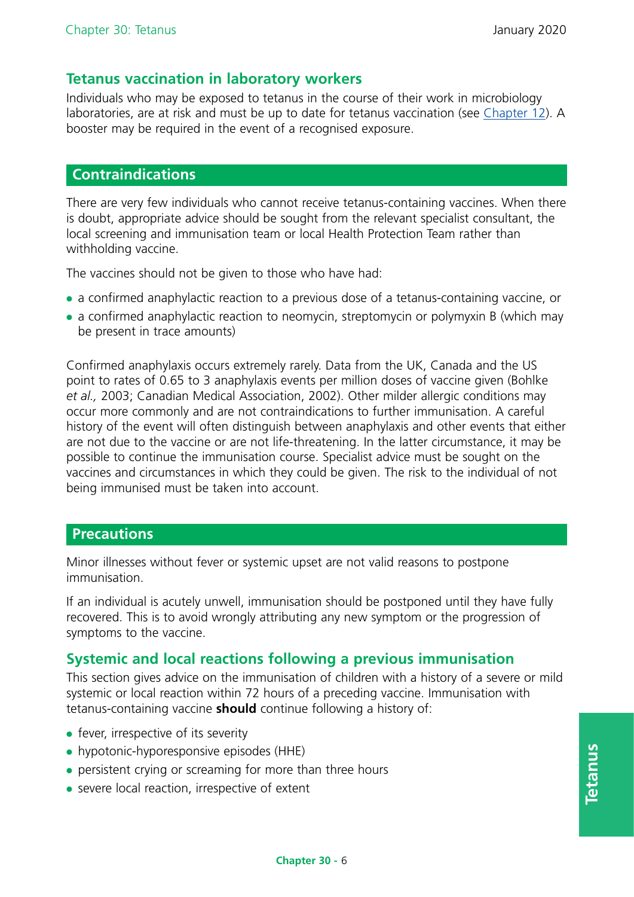### **Tetanus vaccination in laboratory workers**

Individuals who may be exposed to tetanus in the course of their work in microbiology laboratories, are at risk and must be up to date for tetanus vaccination (see [Chapter 12\)](https://www.gov.uk/government/publications/immunisation-of-healthcare-and-laboratory-staff-the-green-book-chapter-12). A booster may be required in the event of a recognised exposure.

#### **Contraindications**

There are very few individuals who cannot receive tetanus-containing vaccines. When there is doubt, appropriate advice should be sought from the relevant specialist consultant, the local screening and immunisation team or local Health Protection Team rather than withholding vaccine.

The vaccines should not be given to those who have had:

- ●● a confirmed anaphylactic reaction to a previous dose of a tetanus-containing vaccine, or
- a confirmed anaphylactic reaction to neomycin, streptomycin or polymyxin B (which may be present in trace amounts)

Confirmed anaphylaxis occurs extremely rarely. Data from the UK, Canada and the US point to rates of 0.65 to 3 anaphylaxis events per million doses of vaccine given (Bohlke *et al.,* 2003; Canadian Medical Association, 2002). Other milder allergic conditions may occur more commonly and are not contraindications to further immunisation. A careful history of the event will often distinguish between anaphylaxis and other events that either are not due to the vaccine or are not life-threatening. In the latter circumstance, it may be possible to continue the immunisation course. Specialist advice must be sought on the vaccines and circumstances in which they could be given. The risk to the individual of not being immunised must be taken into account.

#### **Precautions**

Minor illnesses without fever or systemic upset are not valid reasons to postpone immunisation.

If an individual is acutely unwell, immunisation should be postponed until they have fully recovered. This is to avoid wrongly attributing any new symptom or the progression of symptoms to the vaccine.

# **Systemic and local reactions following a previous immunisation**

This section gives advice on the immunisation of children with a history of a severe or mild systemic or local reaction within 72 hours of a preceding vaccine. Immunisation with tetanus-containing vaccine **should** continue following a history of:

- fever, irrespective of its severity
- hypotonic-hyporesponsive episodes (HHE)
- persistent crying or screaming for more than three hours
- severe local reaction, irrespective of extent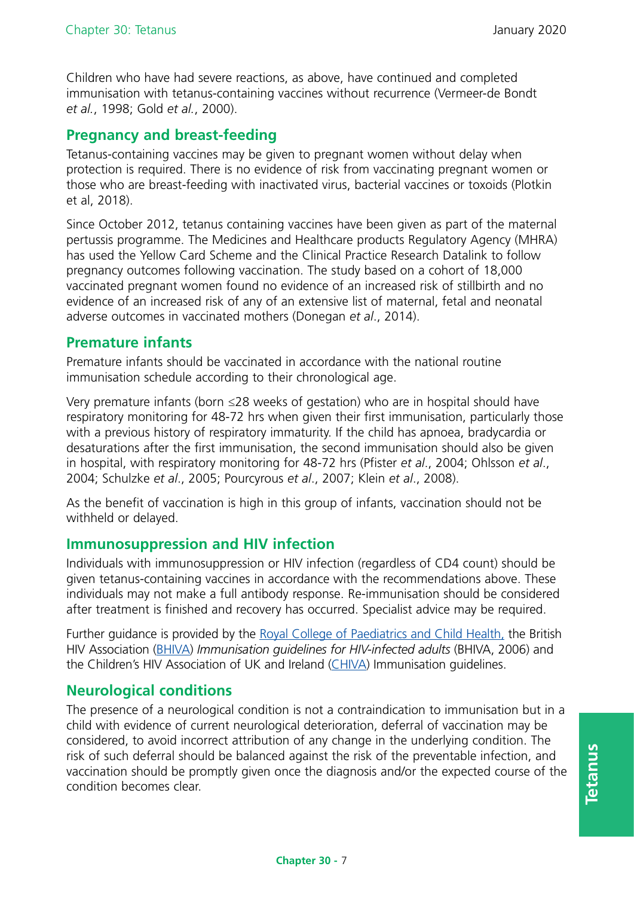Children who have had severe reactions, as above, have continued and completed immunisation with tetanus-containing vaccines without recurrence (Vermeer-de Bondt *et al.*, 1998; Gold *et al.*, 2000).

### **Pregnancy and breast-feeding**

Tetanus-containing vaccines may be given to pregnant women without delay when protection is required. There is no evidence of risk from vaccinating pregnant women or those who are breast-feeding with inactivated virus, bacterial vaccines or toxoids (Plotkin et al, 2018).

Since October 2012, tetanus containing vaccines have been given as part of the maternal pertussis programme. The Medicines and Healthcare products Regulatory Agency (MHRA) has used the Yellow Card Scheme and the Clinical Practice Research Datalink to follow pregnancy outcomes following vaccination. The study based on a cohort of 18,000 vaccinated pregnant women found no evidence of an increased risk of stillbirth and no evidence of an increased risk of any of an extensive list of maternal, fetal and neonatal adverse outcomes in vaccinated mothers (Donegan *et al*., 2014).

### **Premature infants**

Premature infants should be vaccinated in accordance with the national routine immunisation schedule according to their chronological age.

Very premature infants (born ≤28 weeks of gestation) who are in hospital should have respiratory monitoring for 48-72 hrs when given their first immunisation, particularly those with a previous history of respiratory immaturity. If the child has apnoea, bradycardia or desaturations after the first immunisation, the second immunisation should also be given in hospital, with respiratory monitoring for 48-72 hrs (Pfister *et al*., 2004; Ohlsson *et al*., 2004; Schulzke *et al*., 2005; Pourcyrous *et al*., 2007; Klein *et al*., 2008).

As the benefit of vaccination is high in this group of infants, vaccination should not be withheld or delayed.

### **Immunosuppression and HIV infection**

Individuals with immunosuppression or HIV infection (regardless of CD4 count) should be given tetanus-containing vaccines in accordance with the recommendations above. These individuals may not make a full antibody response. Re-immunisation should be considered after treatment is finished and recovery has occurred. Specialist advice may be required.

Further guidance is provided by the [Royal College of Paediatrics and Child Health,](http://www.rcpch.ac.uk/) the British HIV Association [\(BHIVA](https://www.bhiva.org/)) *Immunisation guidelines for HIV-infected adults* (BHIVA, 2006) and the Children's HIV Association of UK and Ireland [\(CHIVA](https://www.chiva.org.uk/)) Immunisation guidelines.

# **Neurological conditions**

The presence of a neurological condition is not a contraindication to immunisation but in a child with evidence of current neurological deterioration, deferral of vaccination may be considered, to avoid incorrect attribution of any change in the underlying condition. The risk of such deferral should be balanced against the risk of the preventable infection, and vaccination should be promptly given once the diagnosis and/or the expected course of the condition becomes clear.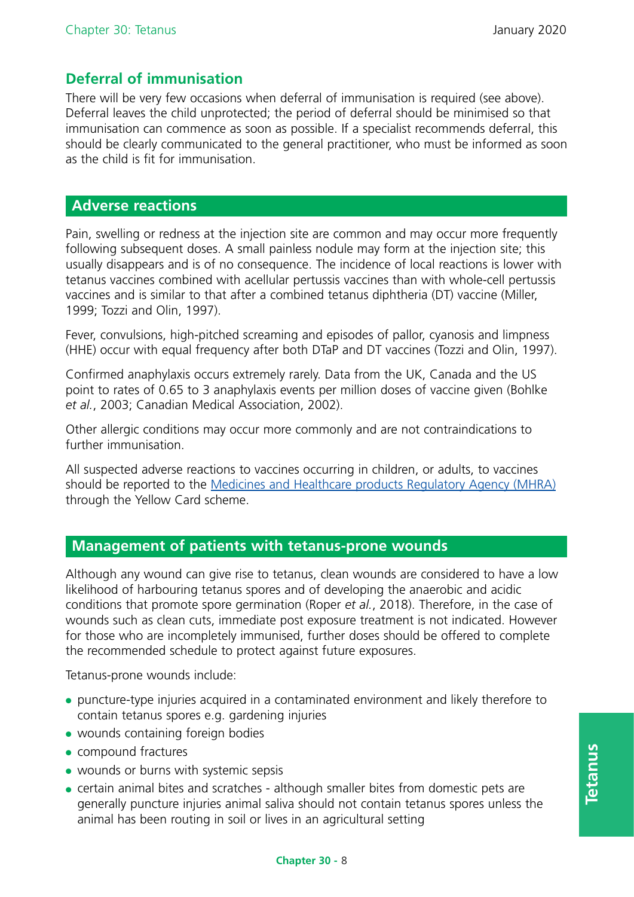### **Deferral of immunisation**

There will be very few occasions when deferral of immunisation is required (see above). Deferral leaves the child unprotected; the period of deferral should be minimised so that immunisation can commence as soon as possible. If a specialist recommends deferral, this should be clearly communicated to the general practitioner, who must be informed as soon as the child is fit for immunisation.

#### **Adverse reactions**

Pain, swelling or redness at the injection site are common and may occur more frequently following subsequent doses. A small painless nodule may form at the injection site; this usually disappears and is of no consequence. The incidence of local reactions is lower with tetanus vaccines combined with acellular pertussis vaccines than with whole-cell pertussis vaccines and is similar to that after a combined tetanus diphtheria (DT) vaccine (Miller, 1999; Tozzi and Olin, 1997).

Fever, convulsions, high-pitched screaming and episodes of pallor, cyanosis and limpness (HHE) occur with equal frequency after both DTaP and DT vaccines (Tozzi and Olin, 1997).

Confirmed anaphylaxis occurs extremely rarely. Data from the UK, Canada and the US point to rates of 0.65 to 3 anaphylaxis events per million doses of vaccine given (Bohlke *et al.*, 2003; Canadian Medical Association, 2002).

Other allergic conditions may occur more commonly and are not contraindications to further immunisation.

All suspected adverse reactions to vaccines occurring in children, or adults, to vaccines should be reported to the [Medicines and Healthcare products Regulatory Agency \(MHRA\)](https://www.gov.uk/report-problem-medicine-medical-device) through the Yellow Card scheme.

### **Management of patients with tetanus-prone wounds**

Although any wound can give rise to tetanus, clean wounds are considered to have a low likelihood of harbouring tetanus spores and of developing the anaerobic and acidic conditions that promote spore germination (Roper *et al.*, 2018). Therefore, in the case of wounds such as clean cuts, immediate post exposure treatment is not indicated. However for those who are incompletely immunised, further doses should be offered to complete the recommended schedule to protect against future exposures.

Tetanus-prone wounds include:

- ●● puncture-type injuries acquired in a contaminated environment and likely therefore to contain tetanus spores e.g. gardening injuries
- wounds containing foreign bodies
- compound fractures
- wounds or burns with systemic sepsis
- certain animal bites and scratches although smaller bites from domestic pets are generally puncture injuries animal saliva should not contain tetanus spores unless the animal has been routing in soil or lives in an agricultural setting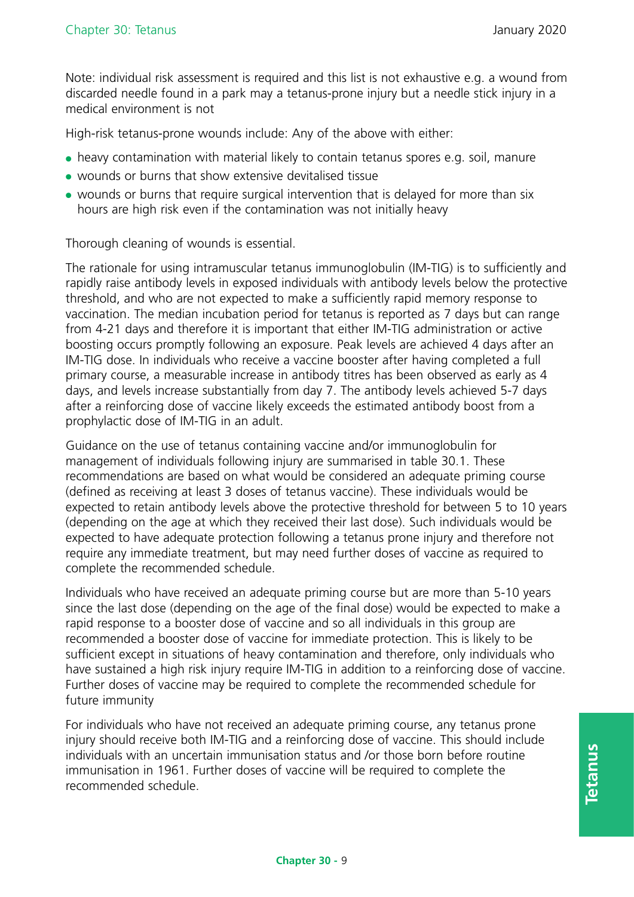Note: individual risk assessment is required and this list is not exhaustive e.g. a wound from discarded needle found in a park may a tetanus-prone injury but a needle stick injury in a medical environment is not

High-risk tetanus-prone wounds include: Any of the above with either:

- heavy contamination with material likely to contain tetanus spores e.g. soil, manure
- wounds or burns that show extensive devitalised tissue
- wounds or burns that require surgical intervention that is delayed for more than six hours are high risk even if the contamination was not initially heavy

Thorough cleaning of wounds is essential.

The rationale for using intramuscular tetanus immunoglobulin (IM-TIG) is to sufficiently and rapidly raise antibody levels in exposed individuals with antibody levels below the protective threshold, and who are not expected to make a sufficiently rapid memory response to vaccination. The median incubation period for tetanus is reported as 7 days but can range from 4-21 days and therefore it is important that either IM-TIG administration or active boosting occurs promptly following an exposure. Peak levels are achieved 4 days after an IM-TIG dose. In individuals who receive a vaccine booster after having completed a full primary course, a measurable increase in antibody titres has been observed as early as 4 days, and levels increase substantially from day 7. The antibody levels achieved 5-7 days after a reinforcing dose of vaccine likely exceeds the estimated antibody boost from a prophylactic dose of IM-TIG in an adult.

Guidance on the use of tetanus containing vaccine and/or immunoglobulin for management of individuals following injury are summarised in table 30.1. These recommendations are based on what would be considered an adequate priming course (defined as receiving at least 3 doses of tetanus vaccine). These individuals would be expected to retain antibody levels above the protective threshold for between 5 to 10 years (depending on the age at which they received their last dose). Such individuals would be expected to have adequate protection following a tetanus prone injury and therefore not require any immediate treatment, but may need further doses of vaccine as required to complete the recommended schedule.

Individuals who have received an adequate priming course but are more than 5-10 years since the last dose (depending on the age of the final dose) would be expected to make a rapid response to a booster dose of vaccine and so all individuals in this group are recommended a booster dose of vaccine for immediate protection. This is likely to be sufficient except in situations of heavy contamination and therefore, only individuals who have sustained a high risk injury require IM-TIG in addition to a reinforcing dose of vaccine. Further doses of vaccine may be required to complete the recommended schedule for future immunity

For individuals who have not received an adequate priming course, any tetanus prone injury should receive both IM-TIG and a reinforcing dose of vaccine. This should include individuals with an uncertain immunisation status and /or those born before routine immunisation in 1961. Further doses of vaccine will be required to complete the recommended schedule.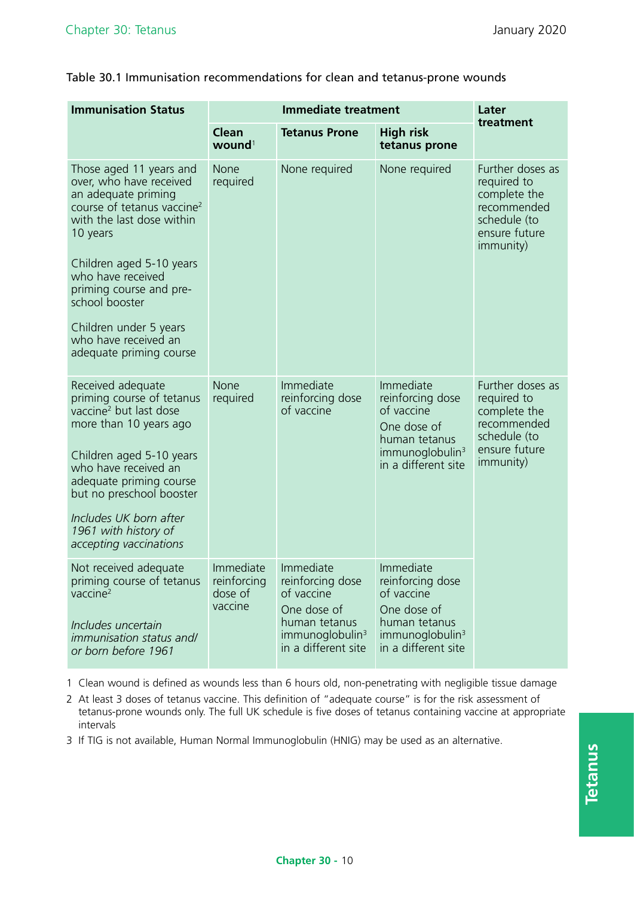Table 30.1 Immunisation recommendations for clean and tetanus-prone wounds

| <b>Immunisation Status</b>                                                                                                                                                                                                                                                                                                              | <b>Immediate treatment</b>                     |                                                                                                                                   |                                                                                                                                   | Later                                                                                                        |
|-----------------------------------------------------------------------------------------------------------------------------------------------------------------------------------------------------------------------------------------------------------------------------------------------------------------------------------------|------------------------------------------------|-----------------------------------------------------------------------------------------------------------------------------------|-----------------------------------------------------------------------------------------------------------------------------------|--------------------------------------------------------------------------------------------------------------|
|                                                                                                                                                                                                                                                                                                                                         | <b>Clean</b><br>wound <sup>1</sup>             | <b>Tetanus Prone</b>                                                                                                              | <b>High risk</b><br>tetanus prone                                                                                                 | treatment                                                                                                    |
| Those aged 11 years and<br>over, who have received<br>an adequate priming<br>course of tetanus vaccine <sup>2</sup><br>with the last dose within<br>10 years<br>Children aged 5-10 years<br>who have received<br>priming course and pre-<br>school booster<br>Children under 5 years<br>who have received an<br>adequate priming course | None<br>required                               | None required                                                                                                                     | None required                                                                                                                     | Further doses as<br>required to<br>complete the<br>recommended<br>schedule (to<br>ensure future<br>immunity) |
| Received adequate<br>priming course of tetanus<br>vaccine <sup>2</sup> but last dose<br>more than 10 years ago<br>Children aged 5-10 years<br>who have received an<br>adequate priming course<br>but no preschool booster<br>Includes UK born after<br>1961 with history of<br>accepting vaccinations                                   | None<br>required                               | Immediate<br>reinforcing dose<br>of vaccine                                                                                       | Immediate<br>reinforcing dose<br>of vaccine<br>One dose of<br>human tetanus<br>immunoglobulin <sup>3</sup><br>in a different site | Further doses as<br>required to<br>complete the<br>recommended<br>schedule (to<br>ensure future<br>immunity) |
| Not received adequate<br>priming course of tetanus<br>vaccine $2$<br>Includes uncertain<br><i>immunisation status and/</i><br>or born before 1961                                                                                                                                                                                       | Immediate<br>reinforcing<br>dose of<br>vaccine | Immediate<br>reinforcing dose<br>of vaccine<br>One dose of<br>human tetanus<br>immunoglobulin <sup>3</sup><br>in a different site | Immediate<br>reinforcing dose<br>of vaccine<br>One dose of<br>human tetanus<br>immunoglobulin <sup>3</sup><br>in a different site |                                                                                                              |

1 Clean wound is defined as wounds less than 6 hours old, non-penetrating with negligible tissue damage

2 At least 3 doses of tetanus vaccine. This definition of "adequate course" is for the risk assessment of tetanus-prone wounds only. The full UK schedule is five doses of tetanus containing vaccine at appropriate intervals

3 If TIG is not available, Human Normal Immunoglobulin (HNIG) may be used as an alternative.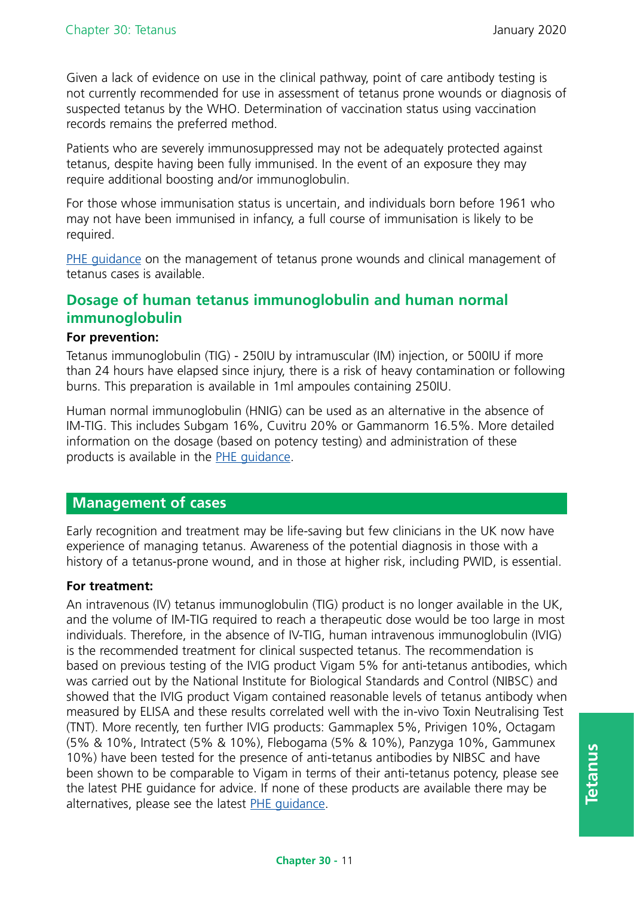Given a lack of evidence on use in the clinical pathway, point of care antibody testing is not currently recommended for use in assessment of tetanus prone wounds or diagnosis of suspected tetanus by the WHO. Determination of vaccination status using vaccination records remains the preferred method.

Patients who are severely immunosuppressed may not be adequately protected against tetanus, despite having been fully immunised. In the event of an exposure they may require additional boosting and/or immunoglobulin.

For those whose immunisation status is uncertain, and individuals born before 1961 who may not have been immunised in infancy, a full course of immunisation is likely to be required.

[PHE guidance](https://www.gov.uk/government/publications/tetanus-advice-for-health-professionals) on the management of tetanus prone wounds and clinical management of tetanus cases is available.

# **Dosage of human tetanus immunoglobulin and human normal immunoglobulin**

#### **For prevention:**

Tetanus immunoglobulin (TIG) - 250IU by intramuscular (IM) injection, or 500IU if more than 24 hours have elapsed since injury, there is a risk of heavy contamination or following burns. This preparation is available in 1ml ampoules containing 250IU.

Human normal immunoglobulin (HNIG) can be used as an alternative in the absence of IM-TIG. This includes Subgam 16%, Cuvitru 20% or Gammanorm 16.5%. More detailed information on the dosage (based on potency testing) and administration of these products is available in the [PHE guidance.](https://www.gov.uk/government/publications/tetanus-advice-for-health-professionals)

# **Management of cases**

Early recognition and treatment may be life-saving but few clinicians in the UK now have experience of managing tetanus. Awareness of the potential diagnosis in those with a history of a tetanus-prone wound, and in those at higher risk, including PWID, is essential.

#### **For treatment:**

An intravenous (IV) tetanus immunoglobulin (TIG) product is no longer available in the UK, and the volume of IM-TIG required to reach a therapeutic dose would be too large in most individuals. Therefore, in the absence of IV-TIG, human intravenous immunoglobulin (IVIG) is the recommended treatment for clinical suspected tetanus. The recommendation is based on previous testing of the IVIG product Vigam 5% for anti-tetanus antibodies, which was carried out by the National Institute for Biological Standards and Control (NIBSC) and showed that the IVIG product Vigam contained reasonable levels of tetanus antibody when measured by ELISA and these results correlated well with the in-vivo Toxin Neutralising Test (TNT). More recently, ten further IVIG products: Gammaplex 5%, Privigen 10%, Octagam (5% & 10%, Intratect (5% & 10%), Flebogama (5% & 10%), Panzyga 10%, Gammunex 10%) have been tested for the presence of anti-tetanus antibodies by NIBSC and have been shown to be comparable to Vigam in terms of their anti-tetanus potency, please see the latest [PHE guidance](https://www.gov.uk/government/publications/tetanus-advice-for-health-professionals) for advice. If none of these products are available there may be alternatives, please see the latest [PHE guidance](https://www.gov.uk/government/publications/tetanus-advice-for-health-professionals).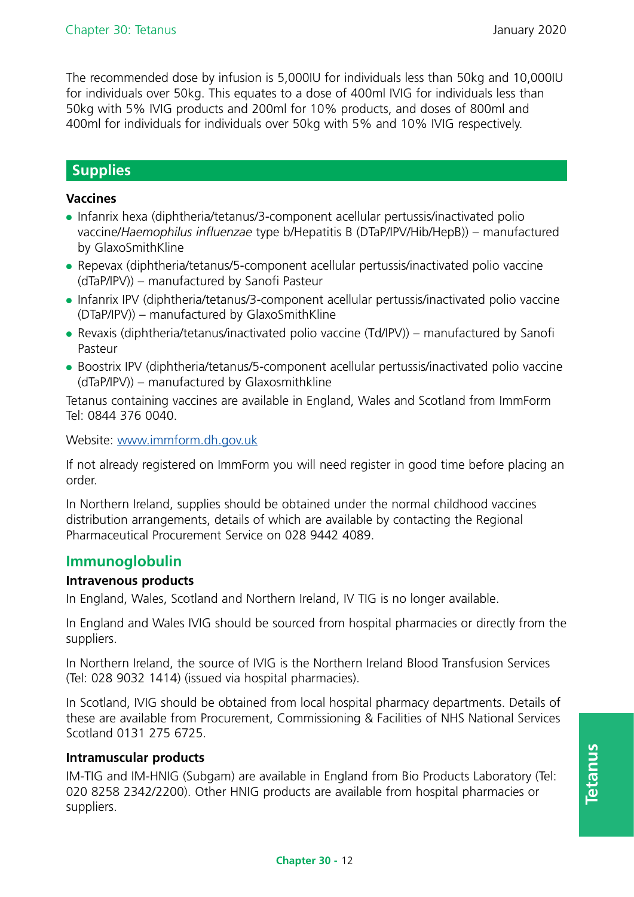The recommended dose by infusion is 5,000IU for individuals less than 50kg and 10,000IU for individuals over 50kg. This equates to a dose of 400ml IVIG for individuals less than 50kg with 5% IVIG products and 200ml for 10% products, and doses of 800ml and 400ml for individuals for individuals over 50kg with 5% and 10% IVIG respectively.

### **Supplies**

#### **Vaccines**

- Infanrix hexa (diphtheria/tetanus/3-component acellular pertussis/inactivated polio vaccine/*Haemophilus influenzae* type b/Hepatitis B (DTaP/IPV/Hib/HepB)) – manufactured by GlaxoSmithKline
- Repevax (diphtheria/tetanus/5-component acellular pertussis/inactivated polio vaccine (dTaP/IPV)) – manufactured by Sanofi Pasteur
- ●● Infanrix IPV (diphtheria/tetanus/3-component acellular pertussis/inactivated polio vaccine (DTaP/IPV)) – manufactured by GlaxoSmithKline
- Revaxis (diphtheria/tetanus/inactivated polio vaccine (Td/IPV)) manufactured by Sanofi Pasteur
- Boostrix IPV (diphtheria/tetanus/5-component acellular pertussis/inactivated polio vaccine (dTaP/IPV)) – manufactured by Glaxosmithkline

Tetanus containing vaccines are available in England, Wales and Scotland from ImmForm Tel: 0844 376 0040.

Website: [www.immform.dh.gov.uk](http://www.immform.dh.gov.uk/)

If not already registered on ImmForm you will need register in good time before placing an order.

In Northern Ireland, supplies should be obtained under the normal childhood vaccines distribution arrangements, details of which are available by contacting the Regional Pharmaceutical Procurement Service on 028 9442 4089.

#### **Immunoglobulin**

#### **Intravenous products**

In England, Wales, Scotland and Northern Ireland, IV TIG is no longer available.

In England and Wales IVIG should be sourced from hospital pharmacies or directly from the suppliers.

In Northern Ireland, the source of IVIG is the Northern Ireland Blood Transfusion Services (Tel: 028 9032 1414) (issued via hospital pharmacies).

In Scotland, IVIG should be obtained from local hospital pharmacy departments. Details of these are available from Procurement, Commissioning & Facilities of NHS National Services Scotland 0131 275 6725.

#### **Intramuscular products**

IM-TIG and IM-HNIG (Subgam) are available in England from Bio Products Laboratory (Tel: 020 8258 2342/2200). Other HNIG products are available from hospital pharmacies or suppliers.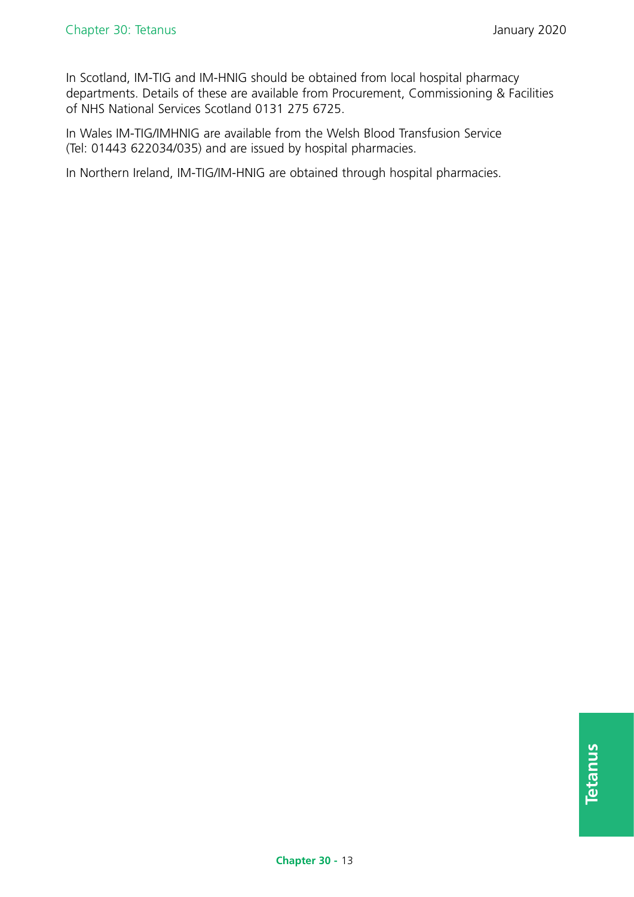In Scotland, IM-TIG and IM-HNIG should be obtained from local hospital pharmacy departments. Details of these are available from Procurement, Commissioning & Facilities of NHS National Services Scotland 0131 275 6725.

In Wales IM-TIG/IMHNIG are available from the Welsh Blood Transfusion Service (Tel: 01443 622034/035) and are issued by hospital pharmacies.

In Northern Ireland, IM-TIG/IM-HNIG are obtained through hospital pharmacies.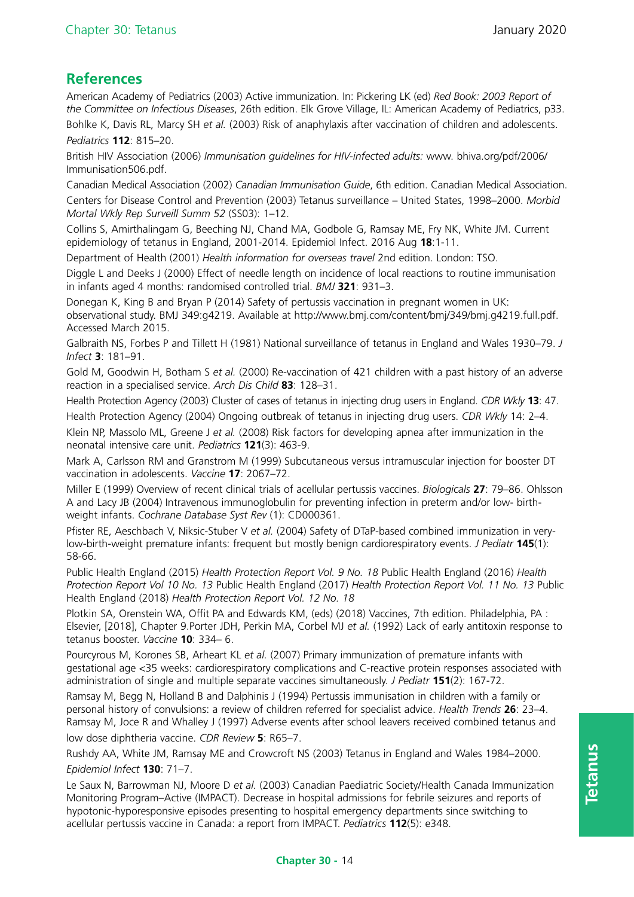# **References**

American Academy of Pediatrics (2003) Active immunization. In: Pickering LK (ed) *Red Book: 2003 Report of the Committee on Infectious Diseases*, 26th edition. Elk Grove Village, IL: American Academy of Pediatrics, p33. Bohlke K, Davis RL, Marcy SH *et al.* (2003) Risk of anaphylaxis after vaccination of children and adolescents.

*Pediatrics* **112**: 815–20.

British HIV Association (2006) *Immunisation guidelines for HIV-infected adults:* [www. bhiva.org/pdf/2006/](http://www.bhiva.org/pdf/2006/Immunisation506.pdf) [Immunisation506.pdf.](http://www.bhiva.org/pdf/2006/Immunisation506.pdf)

Canadian Medical Association (2002) *Canadian Immunisation Guide*, 6th edition. Canadian Medical Association. Centers for Disease Control and Prevention (2003) Tetanus surveillance – United States, 1998–2000. *Morbid Mortal Wkly Rep Surveill Summ 52* (SS03): 1–12.

Collins S, Amirthalingam G, Beeching NJ, Chand MA, Godbole G, Ramsay ME, Fry NK, White JM. Current epidemiology of tetanus in England, 2001-2014. Epidemiol Infect. 2016 Aug **18**:1-11.

Department of Health (2001) *Health information for overseas travel* 2nd edition. London: TSO.

Diggle L and Deeks J (2000) Effect of needle length on incidence of local reactions to routine immunisation in infants aged 4 months: randomised controlled trial. *BMJ* **321**: 931–3.

Donegan K, King B and Bryan P (2014) Safety of pertussis vaccination in pregnant women in UK: observational study. BMJ 349:g4219. Available at [http://www.bmj.com/content/bmj/349/bmj.g4219.full.pdf.](http://www.bmj.com/content/bmj/349/bmj.g4219.full.pdf)  Accessed March 2015.

Galbraith NS, Forbes P and Tillett H (1981) National surveillance of tetanus in England and Wales 1930–79. *J Infect* **3**: 181–91.

Gold M, Goodwin H, Botham S *et al.* (2000) Re-vaccination of 421 children with a past history of an adverse reaction in a specialised service. *Arch Dis Child* **83**: 128–31.

Health Protection Agency (2003) Cluster of cases of tetanus in injecting drug users in England. *CDR Wkly* **13**: 47. Health Protection Agency (2004) Ongoing outbreak of tetanus in injecting drug users. *CDR Wkly* 14: 2–4.

Klein NP, Massolo ML, Greene J *et al.* (2008) Risk factors for developing apnea after immunization in the neonatal intensive care unit. *Pediatrics* **121**(3): 463-9.

Mark A, Carlsson RM and Granstrom M (1999) Subcutaneous versus intramuscular injection for booster DT vaccination in adolescents. *Vaccine* **17**: 2067–72.

Miller E (1999) Overview of recent clinical trials of acellular pertussis vaccines. *Biologicals* **27**: 79–86. Ohlsson A and Lacy JB (2004) Intravenous immunoglobulin for preventing infection in preterm and/or low- birthweight infants. *Cochrane Database Syst Rev* (1): CD000361.

Pfister RE, Aeschbach V, Niksic-Stuber V *et al.* (2004) Safety of DTaP-based combined immunization in verylow-birth-weight premature infants: frequent but mostly benign cardiorespiratory events. *J Pediatr* **145**(1): 58-66.

Public Health England (2015) *Health Protection Report Vol. 9 No. 18* Public Health England (2016) *Health Protection Report Vol 10 No. 13* Public Health England (2017) *Health Protection Report Vol. 11 No. 13* Public Health England (2018) *Health Protection Report Vol. 12 No. 18*

Plotkin SA, Orenstein WA, Offit PA and Edwards KM, (eds) (2018) Vaccines, 7th edition. Philadelphia, PA : Elsevier, [2018], Chapter 9.Porter JDH, Perkin MA, Corbel MJ *et al.* (1992) Lack of early antitoxin response to tetanus booster. *Vaccine* **10**: 334– 6.

Pourcyrous M, Korones SB, Arheart KL *et al.* (2007) Primary immunization of premature infants with gestational age <35 weeks: cardiorespiratory complications and C-reactive protein responses associated with administration of single and multiple separate vaccines simultaneously. *J Pediatr* **151**(2): 167-72.

Ramsay M, Begg N, Holland B and Dalphinis J (1994) Pertussis immunisation in children with a family or personal history of convulsions: a review of children referred for specialist advice. *Health Trends* **26**: 23–4. Ramsay M, Joce R and Whalley J (1997) Adverse events after school leavers received combined tetanus and low dose diphtheria vaccine. *CDR Review* **5**: R65–7.

Rushdy AA, White JM, Ramsay ME and Crowcroft NS (2003) Tetanus in England and Wales 1984–2000. *Epidemiol Infect* **130**: 71–7.

Le Saux N, Barrowman NJ, Moore D *et al.* (2003) Canadian Paediatric Society/Health Canada Immunization Monitoring Program–Active (IMPACT). Decrease in hospital admissions for febrile seizures and reports of hypotonic-hyporesponsive episodes presenting to hospital emergency departments since switching to acellular pertussis vaccine in Canada: a report from IMPACT. *Pediatrics* **112**(5): e348.